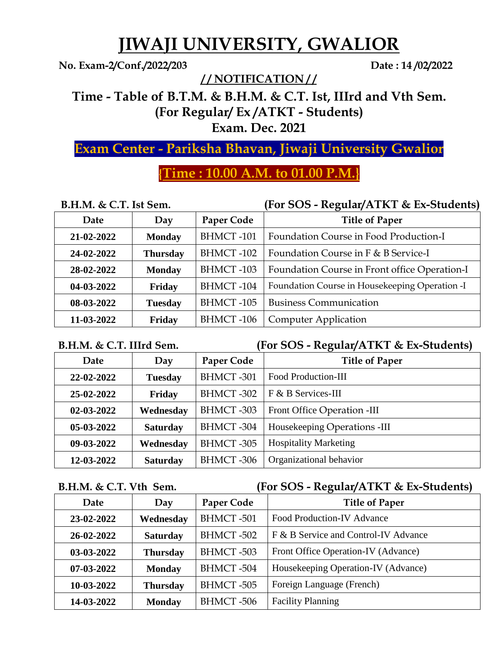# **JIWAJI UNIVERSITY, GWALIOR**

**No. Exam-2/Conf./2022/203 Date : 14 /02/2022**

**/ / NOTIFICATION / /**

**Time - Table of B.T.M. & B.H.M. & C.T. Ist, IIIrd and Vth Sem. (For Regular/ Ex /ATKT - Students)** 

**Exam. Dec. 2021**

## **Exam Center - Pariksha Bhavan, Jiwaji University Gwalior**

## **{Time : 10.00 A.M. to 01.00 P.M.}**

| $B.H.M. \& C.T.$ Ist Sem. |  |  |  |  |
|---------------------------|--|--|--|--|
|---------------------------|--|--|--|--|

### **B.H.M. & C.T. Ist Sem. (For SOS - Regular/ATKT & Ex-Students)**

| Date       | Day             | <b>Paper Code</b> | <b>Title of Paper</b>                          |
|------------|-----------------|-------------------|------------------------------------------------|
| 21-02-2022 | <b>Monday</b>   | <b>BHMCT-101</b>  | Foundation Course in Food Production-I         |
| 24-02-2022 | <b>Thursday</b> | <b>BHMCT-102</b>  | Foundation Course in F & B Service-I           |
| 28-02-2022 | <b>Monday</b>   | <b>BHMCT-103</b>  | Foundation Course in Front office Operation-I  |
| 04-03-2022 | Friday          | <b>BHMCT-104</b>  | Foundation Course in Housekeeping Operation -I |
| 08-03-2022 | <b>Tuesday</b>  | <b>BHMCT-105</b>  | <b>Business Communication</b>                  |
| 11-03-2022 | Friday          | <b>BHMCT-106</b>  | <b>Computer Application</b>                    |

### **B.H.M. & C.T. IIIrd Sem. (For SOS - Regular/ATKT & Ex-Students)**

| Date             | Day             | Paper Code       | <b>Title of Paper</b>        |
|------------------|-----------------|------------------|------------------------------|
| 22-02-2022       | <b>Tuesday</b>  | <b>BHMCT-301</b> | <b>Food Production-III</b>   |
| 25-02-2022       | Friday          | BHMCT-302        | F & B Services-III           |
| $02 - 03 - 2022$ | Wednesday       | BHMCT-303        | Front Office Operation -III  |
| $05-03-2022$     | <b>Saturday</b> | BHMCT-304        | Housekeeping Operations -III |
| 09-03-2022       | Wednesday       | BHMCT-305        | <b>Hospitality Marketing</b> |
| 12-03-2022       | <b>Saturday</b> | BHMCT-306        | Organizational behavior      |

### **B.H.M. & C.T. Vth Sem. (For SOS - Regular/ATKT & Ex-Students)**

| Date         | Day             | Paper Code       | <b>Title of Paper</b>                |
|--------------|-----------------|------------------|--------------------------------------|
| 23-02-2022   | Wednesday       | <b>BHMCT-501</b> | <b>Food Production-IV Advance</b>    |
| 26-02-2022   | <b>Saturday</b> | BHMCT-502        | F & B Service and Control-IV Advance |
| 03-03-2022   | <b>Thursday</b> | BHMCT-503        | Front Office Operation-IV (Advance)  |
| $07-03-2022$ | <b>Monday</b>   | BHMCT-504        | Housekeeping Operation-IV (Advance)  |
| 10-03-2022   | <b>Thursday</b> | BHMCT-505        | Foreign Language (French)            |
| 14-03-2022   | <b>Monday</b>   | BHMCT-506        | <b>Facility Planning</b>             |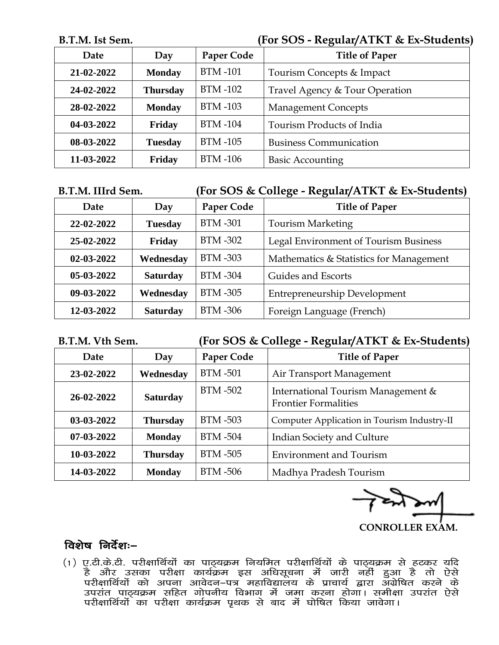#### **B.T.M. Ist Sem. (For SOS - Regular/ATKT & Ex-Students)**

| Date       | Day             | Paper Code     | <b>Title of Paper</b>          |
|------------|-----------------|----------------|--------------------------------|
| 21-02-2022 | <b>Monday</b>   | <b>BTM-101</b> | Tourism Concepts & Impact      |
| 24-02-2022 | <b>Thursday</b> | <b>BTM-102</b> | Travel Agency & Tour Operation |
| 28-02-2022 | <b>Monday</b>   | <b>BTM-103</b> | <b>Management Concepts</b>     |
| 04-03-2022 | <b>Friday</b>   | <b>BTM-104</b> | Tourism Products of India      |
| 08-03-2022 | <b>Tuesday</b>  | <b>BTM-105</b> | <b>Business Communication</b>  |
| 11-03-2022 | <b>Friday</b>   | <b>BTM-106</b> | <b>Basic Accounting</b>        |

#### **B.T.M. IIIrd Sem. (For SOS & College - Regular/ATKT & Ex-Students)**

| <b>Date</b>      | Day             | Paper Code     | <b>Title of Paper</b>                   |
|------------------|-----------------|----------------|-----------------------------------------|
| 22-02-2022       | <b>Tuesday</b>  | <b>BTM-301</b> | <b>Tourism Marketing</b>                |
| 25-02-2022       | Friday          | BTM -302       | Legal Environment of Tourism Business   |
| $02 - 03 - 2022$ | Wednesday       | BTM -303       | Mathematics & Statistics for Management |
| $05-03-2022$     | <b>Saturday</b> | BTM -304       | Guides and Escorts                      |
| 09-03-2022       | Wednesday       | <b>BTM-305</b> | <b>Entrepreneurship Development</b>     |
| 12-03-2022       | <b>Saturday</b> | <b>BTM-306</b> | Foreign Language (French)               |

#### **B.T.M. Vth Sem. (For SOS & College - Regular/ATKT & Ex-Students)**

| Date       | Day             | Paper Code     | ັ<br><b>Title of Paper</b>                                        |
|------------|-----------------|----------------|-------------------------------------------------------------------|
| 23-02-2022 | Wednesday       | <b>BTM-501</b> | Air Transport Management                                          |
| 26-02-2022 | <b>Saturday</b> | <b>BTM-502</b> | International Tourism Management &<br><b>Frontier Formalities</b> |
| 03-03-2022 | <b>Thursday</b> | <b>BTM-503</b> | Computer Application in Tourism Industry-II                       |
| 07-03-2022 | <b>Monday</b>   | <b>BTM-504</b> | <b>Indian Society and Culture</b>                                 |
| 10-03-2022 | <b>Thursday</b> | <b>BTM-505</b> | <b>Environment and Tourism</b>                                    |
| 14-03-2022 | <b>Monday</b>   | <b>BTM-506</b> | Madhya Pradesh Tourism                                            |

 **CONROLLER EXAM.**

### $\overline{a}$ शेष निर्देशः $-$

(1) ए.टी.के.टी. परीक्षार्थियों का पाठ्यक्रम नियमित परीक्षार्थियों के पाठ्यक्रम से हटकर यदि है और उसका परीक्षा कार्यक्रम इस अधिसूचना में जारी नहीं हुआ है तो ऐसे परीक्षार्थियों को अपना आवेदन–पत्र महाविद्यालय के प्राचार्य द्वारा अंग्रेषित करने के उपरांत पाठ्यक्रम सहित गोपनीय विभाग में जमा करना होगा। समीक्षा उपरांत ऐसे ijh{kkfFkZ;ksa dk ijh{kk dk;ZØe i`Fkd ls ckn esa ?kksf"kr fd;k tkosxkA